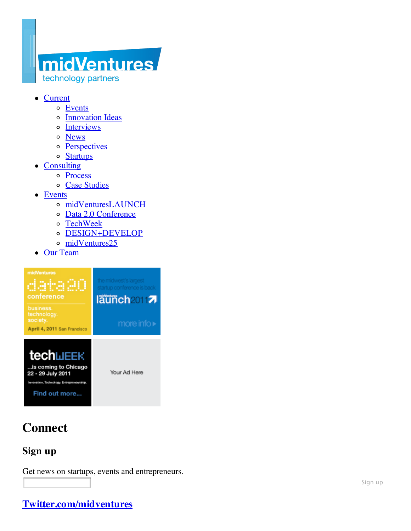# midVentures technology partners

- Current
	- o Events
	- Innovation Ideas
	- o Interviews
	- o News
	- o Perspectives
	- o Startups
- Consulting
	- Process
	- Case Studies
- Events
	- midVenturesLAUNCH
	- Data 2.0 Conference
	- TechWeek  $\circ$
	- DESIGN+DEVELOP
	- o midVentures25
- Our Team



# **Connect**

### **Sign up**

Get news on startups, events and entrepreneurs.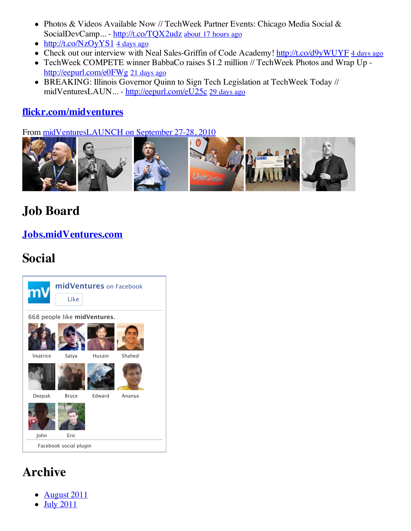- Photos & Videos Available Now // TechWeek Partner Events: Chicago Media Social & SocialDevCamp... - http://t.co/TQX2udz about 17 hours ago
- $\bullet$  http://t.co/NzOyYS1 4 days ago
- Check out our interview with Neal Sales-Griffin of Code Academy! http://t.co/d9yWUYF 4 days ago
- TechWeek COMPETE winner BabbaCo raises \$1.2 million // TechWeek Photos and Wrap Up http://eepurl.com/e0FWg 21 days ago
- BREAKING: Illinois Governor Quinn to Sign Tech Legislation at TechWeek Today // midVenturesLAUN... - http://eepurl.com/eU25c 29 days ago

### **flickr.com/midventures**

From midVenturesLAUNCH on September 27-28, 2010



# **Job Board**

### **Jobs.midVentures.com**

# **Social**



# **Archive**

- August 2011
- July 2011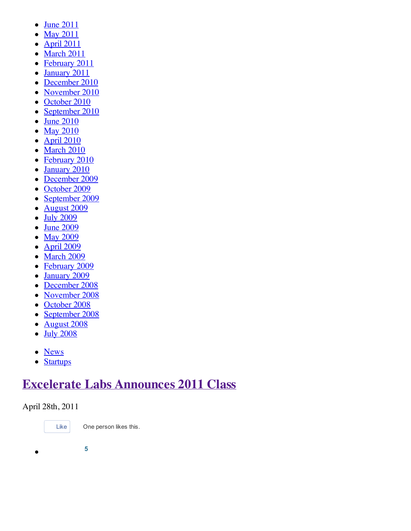- $\bullet$  June 2011
- **May 2011**
- April 2011  $\bullet$
- March 2011  $\bullet$
- February 2011  $\bullet$
- January 2011  $\bullet$
- December 2010  $\bullet$
- November 2010  $\bullet$
- October 2010  $\bullet$
- September 2010  $\bullet$
- June 2010  $\bullet$
- May 2010  $\bullet$
- April 2010  $\bullet$
- March 2010  $\bullet$
- February 2010  $\bullet$
- January 2010  $\bullet$
- December 2009  $\bullet$
- October 2009  $\bullet$
- September 2009  $\bullet$
- August 2009  $\bullet$
- July 2009  $\bullet$
- June 2009  $\bullet$
- May 2009  $\bullet$
- April 2009  $\bullet$
- March 2009
- February 2009  $\bullet$
- January 2009  $\bullet$
- December 2008  $\bullet$
- November 2008  $\bullet$
- October 2008
- September 2008  $\bullet$
- August 2008  $\bullet$
- $\bullet$  July 2008
- News
- Startups

## **Excelerate Labs Announces 2011 Class**

### April 28th, 2011



Like One person likes this.

 $\bullet$ 

**5**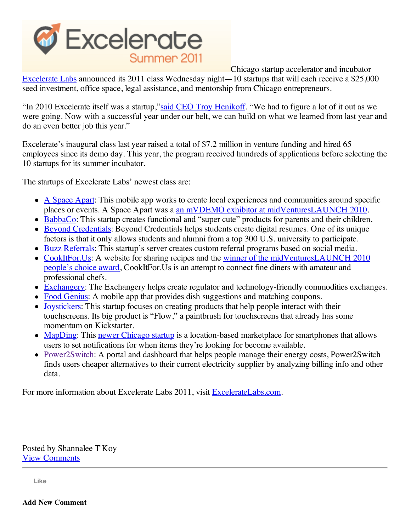

Chicago startup accelerator and incubator Excelerate Labs announced its 2011 class Wednesday night—10 startups that will each receive a \$25,000 seed investment, office space, legal assistance, and mentorship from Chicago entrepreneurs.

"In 2010 Excelerate itself was a startup,"said CEO Troy Henikoff. "We had to figure a lot of it out as we were going. Now with a successful year under our belt, we can build on what we learned from last year and do an even better job this year."

Excelerate's inaugural class last year raised a total of \$7.2 million in venture funding and hired 65 employees since its demo day. This year, the program received hundreds of applications before selecting the 10 startups for its summer incubator.

The startups of Excelerate Labs' newest class are:

- A Space Apart: This mobile app works to create local experiences and communities around specific places or events. A Space Apart was a an mVDEMO exhibitor at midVenturesLAUNCH 2010.
- BabbaCo: This startup creates functional and "super cute" products for parents and their children.
- Beyond Credentials: Beyond Credentials helps students create digital resumes. One of its unique factors is that it only allows students and alumni from a top 300 U.S. university to participate.
- Buzz Referrals: This startup's server creates custom referral programs based on social media.
- CookItFor.Us: A website for sharing recipes and the winner of the midVenturesLAUNCH 2010 people's choice award, CookItFor.Us is an attempt to connect fine diners with amateur and professional chefs.
- Exchangery: The Exchangery helps create regulator and technology-friendly commodities exchanges.
- Food Genius: A mobile app that provides dish suggestions and matching coupons.
- Joystickers: This startup focuses on creating products that help people interact with their touchscreens. Its big product is "Flow," a paintbrush for touchscreens that already has some momentum on Kickstarter.
- MapDing: This newer Chicago startup is a location-based marketplace for smartphones that allows users to set notifications for when items they're looking for become available.
- Power2Switch: A portal and dashboard that helps people manage their energy costs, Power2Switch finds users cheaper alternatives to their current electricity supplier by analyzing billing info and other data.

For more information about Excelerate Labs 2011, visit ExcelerateLabs.com.

Posted by Shannalee T'Koy View Comments

**Like**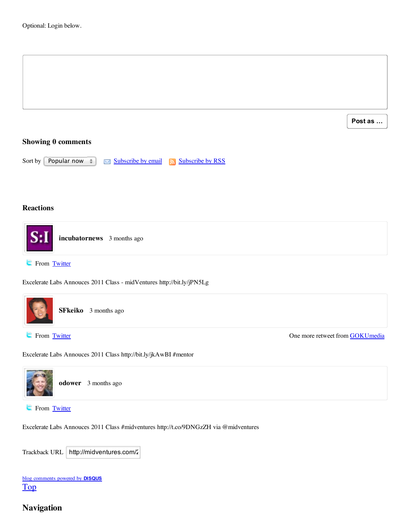Image **Post as …**

#### **Showing 0 comments**

Sort by Popular now  $\Box$  Subscribe by email  $\Box$  Subscribe by RSS

#### **Reactions**



**From Twitter** 

Excelerate Labs Annouces 2011 Class - midVentures http://bit.ly/jPN5Lg



Excelerate Labs Annouces 2011 Class http://bit.ly/jkAwBI #mentor



**From Twitter** 

Excelerate Labs Annouces 2011 Class #midventures http://t.co/9DNGzZH via @midventures

| Trackback URL   http://midventures.com/2 |
|------------------------------------------|
|------------------------------------------|

| blog comments powered by <b>DISQUS</b> |  |
|----------------------------------------|--|
| $\underline{\operatorname{Top}}$       |  |

#### **Navigation**